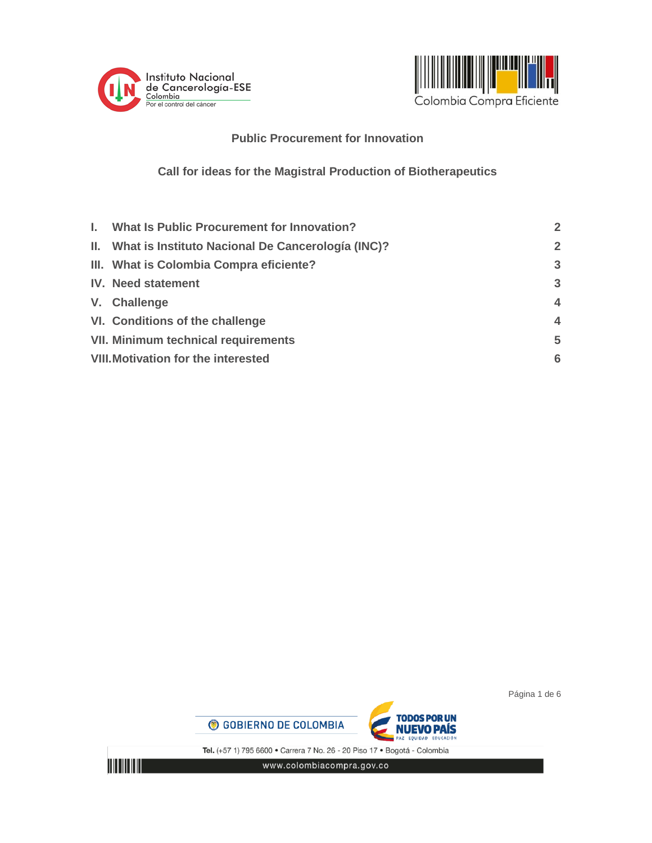



## **Public Procurement for Innovation**

# **Call for ideas for the Magistral Production of Biotherapeutics**

| I. What Is Public Procurement for Innovation?         | $\overline{2}$          |
|-------------------------------------------------------|-------------------------|
| II. What is Instituto Nacional De Cancerología (INC)? | $\overline{2}$          |
| III. What is Colombia Compra eficiente?               | $\mathbf{3}$            |
| <b>IV.</b> Need statement                             | 3                       |
| V. Challenge                                          | $\overline{\mathbf{4}}$ |
| VI. Conditions of the challenge                       | $\overline{\mathbf{A}}$ |
| <b>VII. Minimum technical requirements</b>            | 5                       |
| <b>VIII. Motivation for the interested</b>            | 6                       |

Página 1 de 6





Tel. (+57 1) 795 6600 · Carrera 7 No. 26 - 20 Piso 17 · Bogotá - Colombia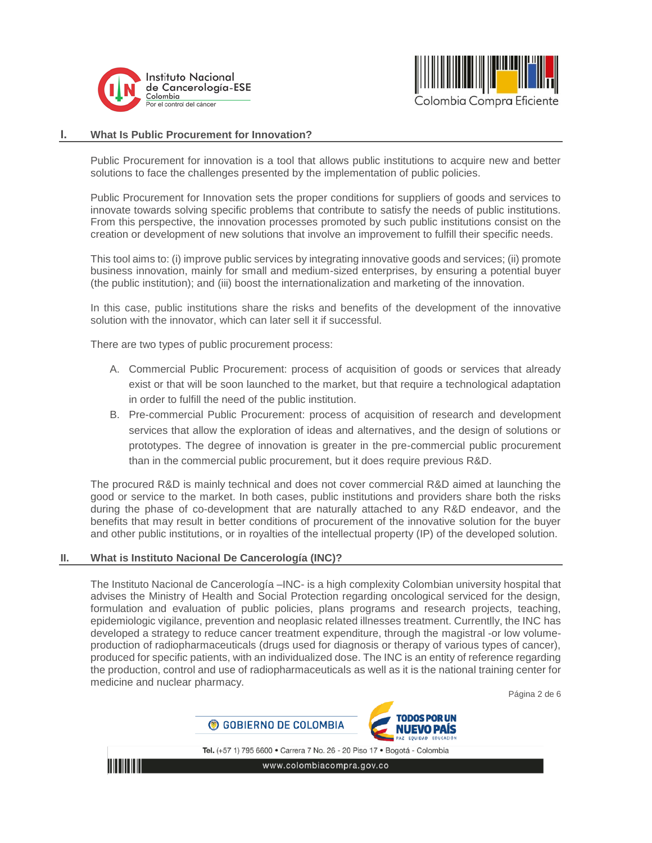



## <span id="page-1-0"></span>**I. What Is Public Procurement for Innovation?**

Public Procurement for innovation is a tool that allows public institutions to acquire new and better solutions to face the challenges presented by the implementation of public policies.

Public Procurement for Innovation sets the proper conditions for suppliers of goods and services to innovate towards solving specific problems that contribute to satisfy the needs of public institutions. From this perspective, the innovation processes promoted by such public institutions consist on the creation or development of new solutions that involve an improvement to fulfill their specific needs.

This tool aims to: (i) improve public services by integrating innovative goods and services; (ii) promote business innovation, mainly for small and medium-sized enterprises, by ensuring a potential buyer (the public institution); and (iii) boost the internationalization and marketing of the innovation.

In this case, public institutions share the risks and benefits of the development of the innovative solution with the innovator, which can later sell it if successful.

There are two types of public procurement process:

- A. Commercial Public Procurement: process of acquisition of goods or services that already exist or that will be soon launched to the market, but that require a technological adaptation in order to fulfill the need of the public institution.
- B. Pre-commercial Public Procurement: process of acquisition of research and development services that allow the exploration of ideas and alternatives, and the design of solutions or prototypes. The degree of innovation is greater in the pre-commercial public procurement than in the commercial public procurement, but it does require previous R&D.

The procured R&D is mainly technical and does not cover commercial R&D aimed at launching the good or service to the market. In both cases, public institutions and providers share both the risks during the phase of co-development that are naturally attached to any R&D endeavor, and the benefits that may result in better conditions of procurement of the innovative solution for the buyer and other public institutions, or in royalties of the intellectual property (IP) of the developed solution.

### **II. What is Instituto Nacional De Cancerología (INC)?**

<span id="page-1-1"></span>The Instituto Nacional de Cancerología –INC- is a high complexity Colombian university hospital that advises the Ministry of Health and Social Protection regarding oncological serviced for the design, formulation and evaluation of public policies, plans programs and research projects, teaching, epidemiologic vigilance, prevention and neoplasic related illnesses treatment. Currentlly, the INC has developed a strategy to reduce cancer treatment expenditure, through the magistral -or low volumeproduction of radiopharmaceuticals (drugs used for diagnosis or therapy of various types of cancer), produced for specific patients, with an individualized dose. The INC is an entity of reference regarding the production, control and use of radiopharmaceuticals as well as it is the national training center for medicine and nuclear pharmacy.

Página 2 de 6





Tel. (+57 1) 795 6600 · Carrera 7 No. 26 - 20 Piso 17 · Bogotá - Colombia

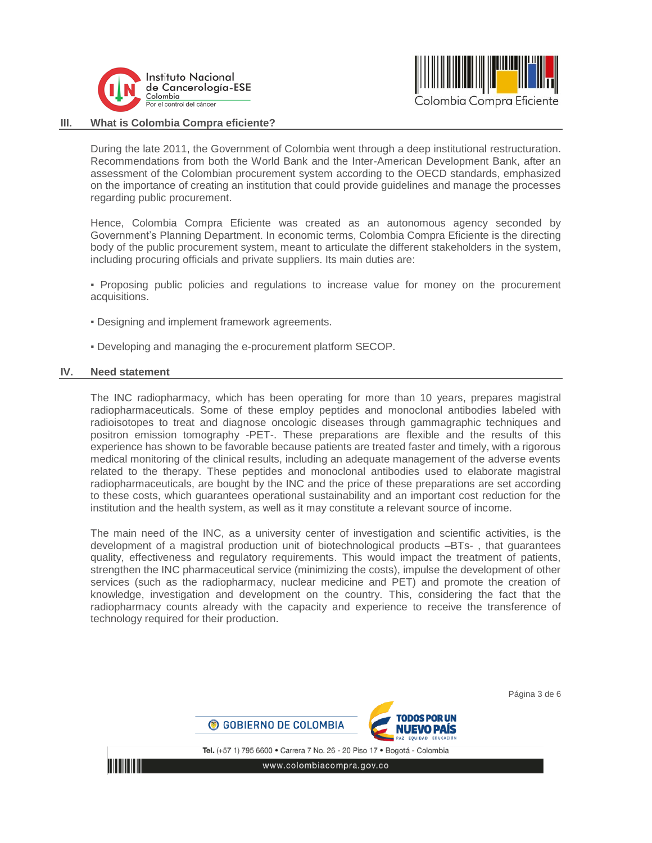



#### **III. What is Colombia Compra eficiente?**

<span id="page-2-0"></span>During the late 2011, the Government of Colombia went through a deep institutional restructuration. Recommendations from both the World Bank and the Inter-American Development Bank, after an assessment of the Colombian procurement system according to the OECD standards, emphasized on the importance of creating an institution that could provide guidelines and manage the processes regarding public procurement.

Hence, Colombia Compra Eficiente was created as an autonomous agency seconded by Government's Planning Department. In economic terms, Colombia Compra Eficiente is the directing body of the public procurement system, meant to articulate the different stakeholders in the system, including procuring officials and private suppliers. Its main duties are:

▪ Proposing public policies and regulations to increase value for money on the procurement acquisitions.

- Designing and implement framework agreements.
- <span id="page-2-1"></span>▪ Developing and managing the e-procurement platform SECOP.

#### **IV. Need statement**

The INC radiopharmacy, which has been operating for more than 10 years, prepares magistral radiopharmaceuticals. Some of these employ peptides and monoclonal antibodies labeled with radioisotopes to treat and diagnose oncologic diseases through gammagraphic techniques and positron emission tomography -PET-. These preparations are flexible and the results of this experience has shown to be favorable because patients are treated faster and timely, with a rigorous medical monitoring of the clinical results, including an adequate management of the adverse events related to the therapy. These peptides and monoclonal antibodies used to elaborate magistral radiopharmaceuticals, are bought by the INC and the price of these preparations are set according to these costs, which guarantees operational sustainability and an important cost reduction for the institution and the health system, as well as it may constitute a relevant source of income.

The main need of the INC, as a university center of investigation and scientific activities, is the development of a magistral production unit of biotechnological products –BTs- , that guarantees quality, effectiveness and regulatory requirements. This would impact the treatment of patients, strengthen the INC pharmaceutical service (minimizing the costs), impulse the development of other services (such as the radiopharmacy, nuclear medicine and PET) and promote the creation of knowledge, investigation and development on the country. This, considering the fact that the radiopharmacy counts already with the capacity and experience to receive the transference of technology required for their production.

Página 3 de 6

© GOBIERNO DE COLOMBIA

Tel. (+57 1) 795 6600 · Carrera 7 No. 26 - 20 Piso 17 · Bogotá - Colombia

**ODOS POR UN** 

NIJEVO PAIS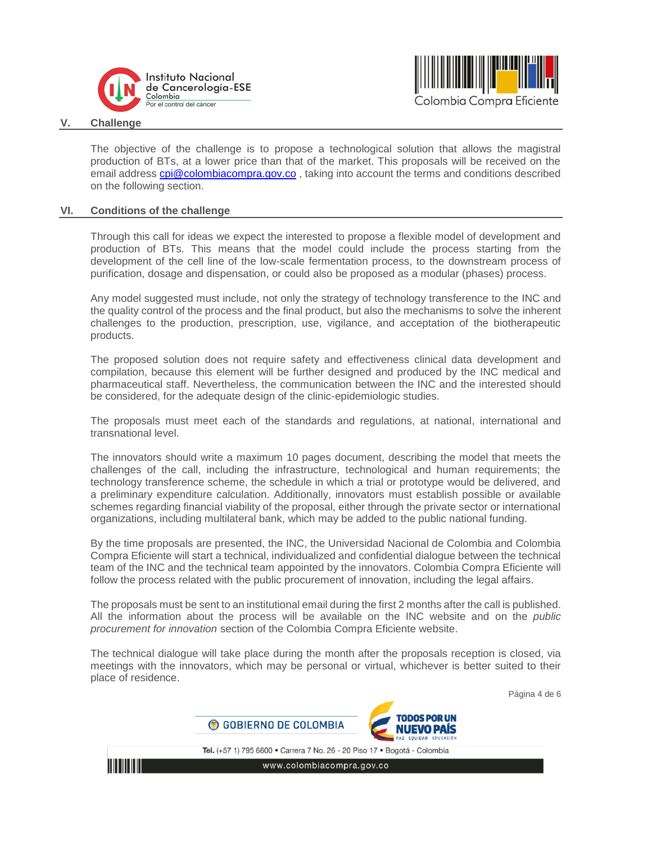



#### **V. Challenge**

<span id="page-3-0"></span>The objective of the challenge is to propose a technological solution that allows the magistral production of BTs, at a lower price than that of the market. This proposals will be received on the email address [cpi@colombiacompra.gov.co](mailto:cpi@colombiacompra.gov.co) , taking into account the terms and conditions described on the following section.

#### **VI. Conditions of the challenge**

<span id="page-3-1"></span>Through this call for ideas we expect the interested to propose a flexible model of development and production of BTs. This means that the model could include the process starting from the development of the cell line of the low-scale fermentation process, to the downstream process of purification, dosage and dispensation, or could also be proposed as a modular (phases) process.

Any model suggested must include, not only the strategy of technology transference to the INC and the quality control of the process and the final product, but also the mechanisms to solve the inherent challenges to the production, prescription, use, vigilance, and acceptation of the biotherapeutic products.

The proposed solution does not require safety and effectiveness clinical data development and compilation, because this element will be further designed and produced by the INC medical and pharmaceutical staff. Nevertheless, the communication between the INC and the interested should be considered, for the adequate design of the clinic-epidemiologic studies.

The proposals must meet each of the standards and regulations, at national, international and transnational level.

The innovators should write a maximum 10 pages document, describing the model that meets the challenges of the call, including the infrastructure, technological and human requirements; the technology transference scheme, the schedule in which a trial or prototype would be delivered, and a preliminary expenditure calculation. Additionally, innovators must establish possible or available schemes regarding financial viability of the proposal, either through the private sector or international organizations, including multilateral bank, which may be added to the public national funding.

By the time proposals are presented, the INC, the Universidad Nacional de Colombia and Colombia Compra Eficiente will start a technical, individualized and confidential dialogue between the technical team of the INC and the technical team appointed by the innovators. Colombia Compra Eficiente will follow the process related with the public procurement of innovation, including the legal affairs.

The proposals must be sent to an institutional email during the first 2 months after the call is published. All the information about the process will be available on the INC website and on the *public procurement for innovation* section of the Colombia Compra Eficiente website.

The technical dialogue will take place during the month after the proposals reception is closed, via meetings with the innovators, which may be personal or virtual, whichever is better suited to their place of residence.

Página 4 de 6

Tel. (+57 1) 795 6600 · Carrera 7 No. 26 - 20 Piso 17 · Bogotá - Colombia

ODOS POR UN

IIJEVO PAIS

www.colombiacompra.gov.co

C GOBIERNO DE COLOMBIA

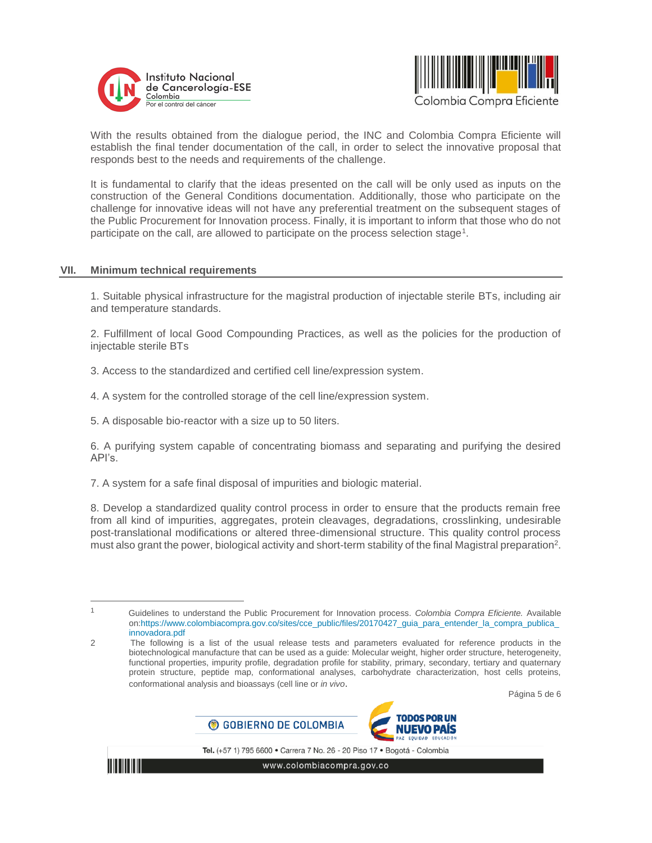



With the results obtained from the dialogue period, the INC and Colombia Compra Eficiente will establish the final tender documentation of the call, in order to select the innovative proposal that responds best to the needs and requirements of the challenge.

It is fundamental to clarify that the ideas presented on the call will be only used as inputs on the construction of the General Conditions documentation. Additionally, those who participate on the challenge for innovative ideas will not have any preferential treatment on the subsequent stages of the Public Procurement for Innovation process. Finally, it is important to inform that those who do not participate on the call, are allowed to participate on the process selection stage<sup>1</sup>.

#### **VII. Minimum technical requirements**

<span id="page-4-0"></span>1. Suitable physical infrastructure for the magistral production of injectable sterile BTs, including air and temperature standards.

2. Fulfillment of local Good Compounding Practices, as well as the policies for the production of injectable sterile BTs

3. Access to the standardized and certified cell line/expression system.

4. A system for the controlled storage of the cell line/expression system.

5. A disposable bio-reactor with a size up to 50 liters.

6. A purifying system capable of concentrating biomass and separating and purifying the desired API's.

7. A system for a safe final disposal of impurities and biologic material.

8. Develop a standardized quality control process in order to ensure that the products remain free from all kind of impurities, aggregates, protein cleavages, degradations, crosslinking, undesirable post-translational modifications or altered three-dimensional structure. This quality control process must also grant the power, biological activity and short-term stability of the final Magistral preparation<sup>2</sup>.

Página 5 de 6





Tel. (+57 1) 795 6600 · Carrera 7 No. 26 - 20 Piso 17 · Bogotá - Colombia

 $\overline{a}$ 1

Guidelines to understand the Public Procurement for Innovation process. *Colombia Compra Eficiente.* Available on:https://www.colombiacompra.gov.co/sites/cce\_public/files/20170427\_guia\_para\_entender\_la\_compra\_publica\_ innovadora.pdf

<sup>2</sup> The following is a list of the usual release tests and parameters evaluated for reference products in the biotechnological manufacture that can be used as a guide: Molecular weight, higher order structure, heterogeneity, functional properties, impurity profile, degradation profile for stability, primary, secondary, tertiary and quaternary protein structure, peptide map, conformational analyses, carbohydrate characterization, host cells proteins, conformational analysis and bioassays (cell line or *in vivo*.